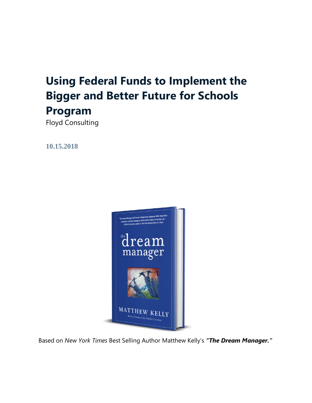# **Using Federal Funds to Implement the Bigger and Better Future for Schools Program**

Floyd Consulting

**10.15.2018**



Based on *New York Times* Best Selling Author Matthew Kelly's *"The Dream Manager."*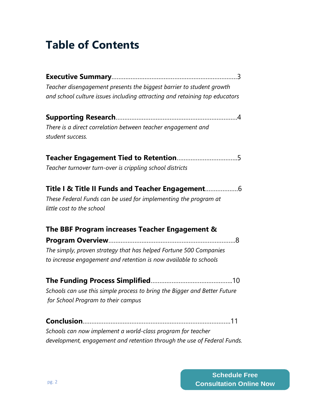## **Table of Contents**

| Teacher disengagement presents the biggest barrier to student growth                                                                            |
|-------------------------------------------------------------------------------------------------------------------------------------------------|
| and school culture issues including attracting and retaining top educators                                                                      |
|                                                                                                                                                 |
| There is a direct correlation between teacher engagement and<br>student success.                                                                |
| Teacher turnover turn-over is crippling school districts                                                                                        |
| Title I & Title II Funds and Teacher Engagement<br>These Federal Funds can be used for implementing the program at<br>little cost to the school |
| The BBF Program increases Teacher Engagement &                                                                                                  |
| The simply, proven strategy that has helped Fortune 500 Companies<br>to increase engagement and retention is now available to schools           |
|                                                                                                                                                 |
| Schools can use this simple process to bring the Bigger and Better Future                                                                       |
| for School Program to their campus                                                                                                              |
|                                                                                                                                                 |
| Schools can now implement a world-class program for teacher                                                                                     |
| development, engagement and retention through the use of Federal Funds.                                                                         |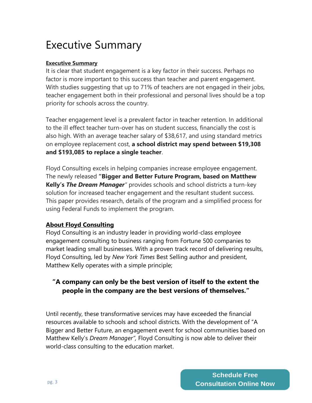## Executive Summary

### **Executive Summary**

It is clear that student engagement is a key factor in their success. Perhaps no factor is more important to this success than teacher and parent engagement. With studies suggesting that up to 71% of teachers are not engaged in their jobs, teacher engagement both in their professional and personal lives should be a top priority for schools across the country.

Teacher engagement level is a prevalent factor in teacher retention. In additional to the ill effect teacher turn-over has on student success, financially the cost is also high. With an average teacher salary of \$38,617, and using standard metrics on employee replacement cost, **a school district may spend between \$19,308 and \$193,085 to replace a single teacher**.

Floyd Consulting excels in helping companies increase employee engagement. The newly released **"Bigger and Better Future Program, based on Matthew Kelly's** *The Dream Manager"* provides schools and school districts a turn-key solution for increased teacher engagement and the resultant student success. This paper provides research, details of the program and a simplified process for using Federal Funds to implement the program.

### **About Floyd Consulting**

Floyd Consulting is an industry leader in providing world-class employee engagement consulting to business ranging from Fortune 500 companies to market leading small businesses. With a proven track record of delivering results, Floyd Consulting, led by *New York Times* Best Selling author and president, Matthew Kelly operates with a simple principle;

### **"A company can only be the best version of itself to the extent the people in the company are the best versions of themselves."**

Until recently, these transformative services may have exceeded the financial resources available to schools and school districts. With the development of "A Bigger and Better Future, an engagement event for school communities based on Matthew Kelly's *Dream Manager",* Floyd Consulting is now able to deliver their world-class consulting to the education market.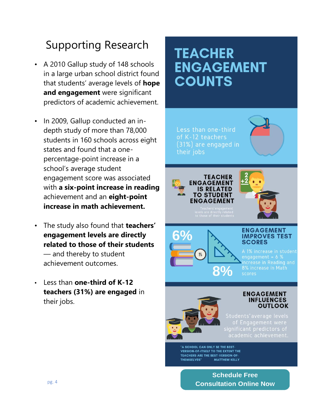## Supporting Research

- A 2010 Gallup study of 148 schools in a large urban school district found that students' average levels of **hope and engagement** were significant predictors of academic achievement.
- In 2009, Gallup conducted an indepth study of more than 78,000 students in 160 schools across eight states and found that a onepercentage-point increase in a school's average student engagement score was associated with **a six-point increase in reading**  achievement and an **eight-point increase in math achievement.**
- The study also found that **teachers' engagement levels are directly related to those of their students** — and thereby to student achievement outcomes.
- Less than **one-third of K-12 teachers (31%) are engaged** in their jobs.

# **TEACHER ENGAGEMENT COUNTS**

Less than one-third of K-12 teachers (31%) are engaged in their jobs

> **TEACHER ENGAGEMENT IS RELATED TO STUDENT ENGAGEMENT**



6% 8%

#### **ENGAGEMENT IMPROVES TEST SCORES**

engagement =  $6%$ scores



#### **ENGAGEMENT INFLUENCES OUTLOOK**

Students'average levels academic achievement.

A SCHOOL CAN ONLY BE THE BEST-**VERSION-OF-ITSELF TO THE EXTENT THE TEACHERS ARE THE BEST-VERSION-OF-THEMSELVES" MATTHEW KELLY** 

> **Schedule Free Consultation Online Now**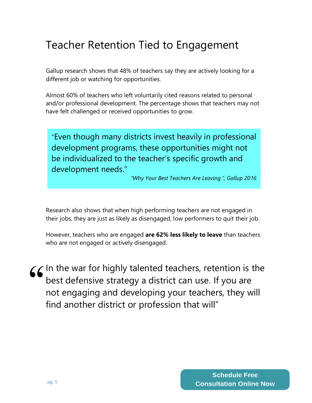## Teacher Retention Tied to Engagement

Gallup research shows that 48% of teachers say they are actively looking for a different job or watching for opportunities.

Almost 60% of teachers who left voluntarily cited reasons related to personal and/or professional development. The percentage shows that teachers may not have felt challenged or received opportunities to grow.

"Even though many districts invest heavily in professional development programs, these opportunities might not be individualized to the teacher's specific growth and development needs."

*"Why Your Best Teachers Are Leaving.", Gallup 2016*

Research also shows that when high performing teachers are not engaged in their jobs, they are just as likely as disengaged, low performers to quit their job.

However, teachers who are engaged **are 62% less likely to leave** than teachers who are not engaged or actively disengaged.

In the war for highly talented teachers, retention is the best defensive strategy a district can use. If you are not engaging and developing your teachers, they will find another district or profession that will" "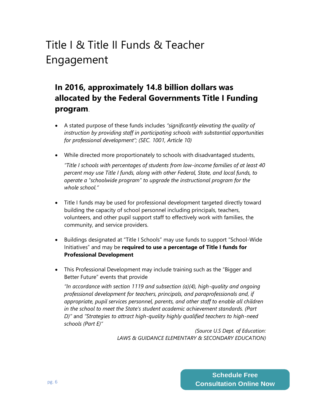## Title I & Title II Funds & Teacher Engagement

## **In 2016, approximately 14.8 billion dollars was allocated by the Federal Governments Title I Funding program**.

- A stated purpose of these funds includes *"significantly elevating the quality of instruction by providing staff in participating schools with substantial opportunities for professional development"; (SEC. 1001, Article 10)*
- While directed more proportionately to schools with disadvantaged students,

*"Title I schools with percentages of students from low-income families of at least 40 percent may use Title I funds, along with other Federal, State, and local funds, to operate a "schoolwide program" to upgrade the instructional program for the whole school."*

- Title I funds may be used for professional development targeted directly toward building the capacity of school personnel including principals, teachers, volunteers, and other pupil support staff to effectively work with families, the community, and service providers.
- Buildings designated at "Title I Schools" may use funds to support "School-Wide Initiatives" and may be **required to use a percentage of Title I funds for Professional Development**
- This Professional Development may include training such as the "Bigger and Better Future" events that provide

*"In accordance with section 1119 and subsection (a)(4), high-quality and ongoing professional development for teachers, principals, and paraprofessionals and, if appropriate, pupil services personnel, parents, and other staff to enable all children in the school to meet the State's student academic achievement standards. (Part D)"* and *"Strategies to attract high-quality highly qualified teachers to high-need schools (Part E)"* 

> *(Source U.S Dept. of Education: LAWS & GUIDANCE ELEMENTARY & SECONDARY EDUCATION)*

> > **Schedule Free Consultation Online Now**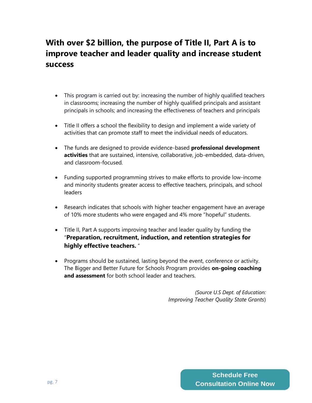## **With over \$2 billion, the purpose of Title II, Part A is to improve teacher and leader quality and increase student success**

- This program is carried out by: increasing the number of highly qualified teachers in classrooms; increasing the number of highly qualified principals and assistant principals in schools; and increasing the effectiveness of teachers and principals
- Title II offers a school the flexibility to design and implement a wide variety of activities that can promote staff to meet the individual needs of educators.
- The funds are designed to provide evidence-based **professional development activities** that are sustained, intensive, collaborative, job-embedded, data-driven, and classroom-focused.
- Funding supported programming strives to make efforts to provide low-income and minority students greater access to effective teachers, principals, and school leaders
- Research indicates that schools with higher teacher engagement have an average of 10% more students who were engaged and 4% more "hopeful" students.
- Title II, Part A supports improving teacher and leader quality by funding the "**Preparation, recruitment, induction, and retention strategies for highly effective teachers.** "
- Programs should be sustained, lasting beyond the event, conference or activity. The Bigger and Better Future for Schools Program provides **on-going coaching and assessment** for both school leader and teachers.

*(Source U.S Dept. of Education: Improving Teacher Quality State Grants*)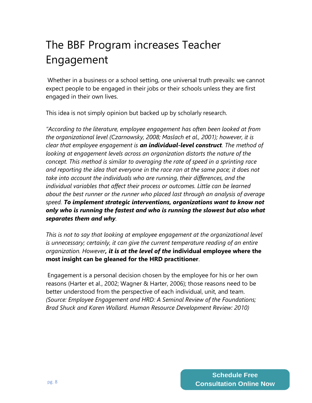## The BBF Program increases Teacher Engagement

Whether in a business or a school setting, one universal truth prevails: we cannot expect people to be engaged in their jobs or their schools unless they are first engaged in their own lives.

This idea is not simply opinion but backed up by scholarly research.

*"According to the literature, employee engagement has often been looked at from the organizational level (Czarnowsky, 2008; Maslach et al., 2001); however, it is clear that employee engagement is an individual-level construct. The method of looking at engagement levels across an organization distorts the nature of the concept. This method is similar to averaging the rate of speed in a sprinting race*  and reporting the idea that everyone in the race ran at the same pace; it does not *take into account the individuals who are running, their differences, and the individual variables that affect their process or outcomes. Little can be learned about the best runner or the runner who placed last through an analysis of average speed. To implement strategic interventions, organizations want to know not only who is running the fastest and who is running the slowest but also what separates them and why.* 

*This is not to say that looking at employee engagement at the organizational level is unnecessary; certainly, it can give the current temperature reading of an entire organization. However, it is at the level of the* **individual employee where the most insight can be gleaned for the HRD practitioner**.

Engagement is a personal decision chosen by the employee for his or her own reasons (Harter et al., 2002; Wagner & Harter, 2006); those reasons need to be better understood from the perspective of each individual, unit, and team. *(Source: Employee Engagement and HRD: A Seminal Review of the Foundations; Brad Shuck and Karen Wollard. Human Resource Development Review: 2010)*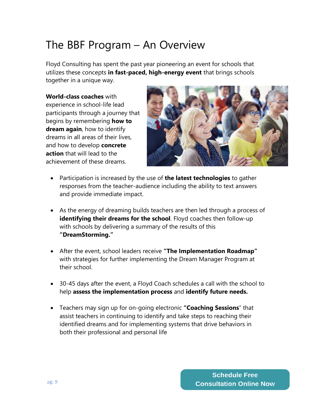## The BBF Program – An Overview

Floyd Consulting has spent the past year pioneering an event for schools that utilizes these concepts **in fast-paced, high-energy event** that brings schools together in a unique way.

**World-class coaches** with experience in school-life lead participants through a journey that begins by remembering **how to dream again**, how to identify dreams in all areas of their lives, and how to develop **concrete action** that will lead to the achievement of these dreams.



- Participation is increased by the use of **the latest technologies** to gather responses from the teacher-audience including the ability to text answers and provide immediate impact.
- As the energy of dreaming builds teachers are then led through a process of **identifying their dreams for the school**. Floyd coaches then follow-up with schools by delivering a summary of the results of this **"DreamStorming."**
- After the event, school leaders receive **"The Implementation Roadmap"** with strategies for further implementing the Dream Manager Program at their school.
- 30-45 days after the event, a Floyd Coach schedules a call with the school to help **assess the implementation process** and **identify future needs.**
- Teachers may sign up for on-going electronic **"Coaching Sessions**" that assist teachers in continuing to identify and take steps to reaching their identified dreams and for implementing systems that drive behaviors in both their professional and personal life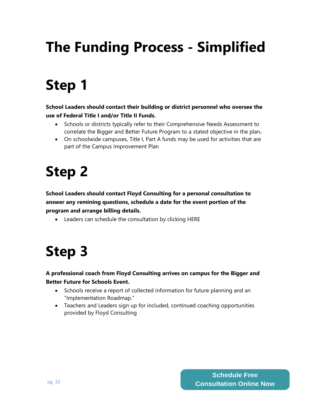# **The Funding Process - Simplified**

# **Step 1**

**School Leaders should contact their building or district personnel who oversee the use of Federal Title I and/or Title II Funds.** 

- Schools or districts typically refer to their Comprehensive Needs Assessment to correlate the Bigger and Better Future Program to a stated objective in the plan**.**
- On schoolwide campuses, Title I, Part A funds may be used for activities that are part of the Campus Improvement Plan

# **Step 2**

**School Leaders should contact Floyd Consulting for a personal consultation to answer any remining questions, schedule a date for the event portion of the program and arrange billing details.**

• Leaders can schedule the consultation by clicking HERE

# **Step 3**

### **A professional coach from Floyd Consulting arrives on campus for the Bigger and Better Future for Schools Event.**

- Schools receive a report of collected information for future planning and an "Implementation Roadmap."
- Teachers and Leaders sign up for included, continued coaching opportunities provided by Floyd Consulting